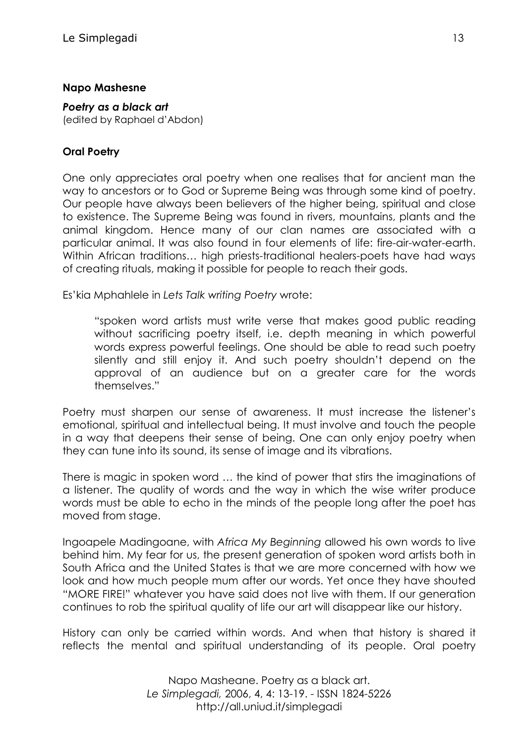#### **Napo Mashesne**

*Poetry as a black art* (edited by Raphael d'Abdon)

### **Oral Poetry**

One only appreciates oral poetry when one realises that for ancient man the way to ancestors or to God or Supreme Being was through some kind of poetry. Our people have always been believers of the higher being, spiritual and close to existence. The Supreme Being was found in rivers, mountains, plants and the animal kingdom. Hence many of our clan names are associated with a particular animal. It was also found in four elements of life: fire-air-water-earth. Within African traditions… high priests-traditional healers-poets have had ways of creating rituals, making it possible for people to reach their gods.

Es'kia Mphahlele in *Lets Talk writing Poetry* wrote:

"spoken word artists must write verse that makes good public reading without sacrificing poetry itself, i.e. depth meaning in which powerful words express powerful feelings. One should be able to read such poetry silently and still enjoy it. And such poetry shouldn't depend on the approval of an audience but on a greater care for the words themselves."

Poetry must sharpen our sense of awareness. It must increase the listener's emotional, spiritual and intellectual being. It must involve and touch the people in a way that deepens their sense of being. One can only enjoy poetry when they can tune into its sound, its sense of image and its vibrations.

There is magic in spoken word … the kind of power that stirs the imaginations of a listener. The quality of words and the way in which the wise writer produce words must be able to echo in the minds of the people long after the poet has moved from stage.

Ingoapele Madingoane, with *Africa My Beginning* allowed his own words to live behind him. My fear for us, the present generation of spoken word artists both in South Africa and the United States is that we are more concerned with how we look and how much people mum after our words. Yet once they have shouted "MORE FIRE!" whatever you have said does not live with them. If our generation continues to rob the spiritual quality of life our art will disappear like our history.

History can only be carried within words. And when that history is shared it reflects the mental and spiritual understanding of its people. Oral poetry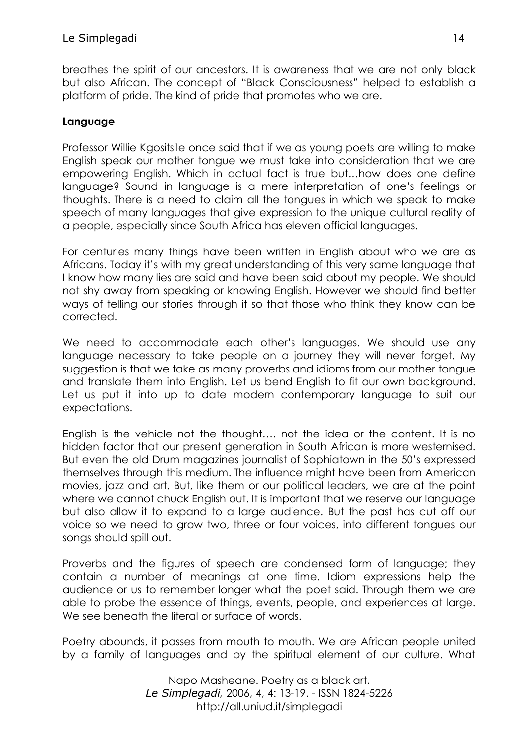breathes the spirit of our ancestors. It is awareness that we are not only black but also African. The concept of "Black Consciousness" helped to establish a platform of pride. The kind of pride that promotes who we are.

## **Language**

Professor Willie Kgositsile once said that if we as young poets are willing to make English speak our mother tongue we must take into consideration that we are empowering English. Which in actual fact is true but…how does one define language? Sound in language is a mere interpretation of one's feelings or thoughts. There is a need to claim all the tongues in which we speak to make speech of many languages that give expression to the unique cultural reality of a people, especially since South Africa has eleven official languages.

For centuries many things have been written in English about who we are as Africans. Today it's with my great understanding of this very same language that I know how many lies are said and have been said about my people. We should not shy away from speaking or knowing English. However we should find better ways of telling our stories through it so that those who think they know can be corrected.

We need to accommodate each other's languages. We should use any language necessary to take people on a journey they will never forget. My suggestion is that we take as many proverbs and idioms from our mother tongue and translate them into English. Let us bend English to fit our own background. Let us put it into up to date modern contemporary language to suit our expectations.

English is the vehicle not the thought…. not the idea or the content. It is no hidden factor that our present generation in South African is more westernised. But even the old Drum magazines journalist of Sophiatown in the 50's expressed themselves through this medium. The influence might have been from American movies, jazz and art. But, like them or our political leaders, we are at the point where we cannot chuck English out. It is important that we reserve our language but also allow it to expand to a large audience. But the past has cut off our voice so we need to grow two, three or four voices, into different tongues our songs should spill out.

Proverbs and the figures of speech are condensed form of language; they contain a number of meanings at one time. Idiom expressions help the audience or us to remember longer what the poet said. Through them we are able to probe the essence of things, events, people, and experiences at large. We see beneath the literal or surface of words.

Poetry abounds, it passes from mouth to mouth. We are African people united by a family of languages and by the spiritual element of our culture. What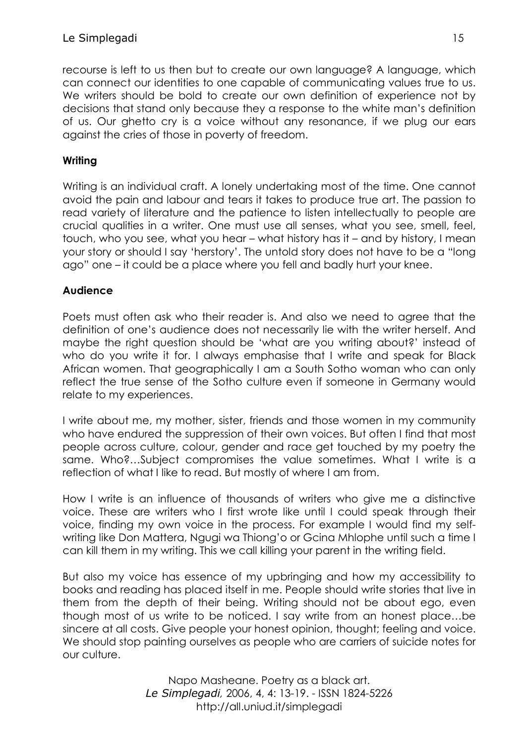recourse is left to us then but to create our own language? A language, which can connect our identities to one capable of communicating values true to us. We writers should be bold to create our own definition of experience not by decisions that stand only because they a response to the white man's definition of us. Our ghetto cry is a voice without any resonance, if we plug our ears against the cries of those in poverty of freedom.

# **Writing**

Writing is an individual craft. A lonely undertaking most of the time. One cannot avoid the pain and labour and tears it takes to produce true art. The passion to read variety of literature and the patience to listen intellectually to people are crucial qualities in a writer. One must use all senses, what you see, smell, feel, touch, who you see, what you hear – what history has it – and by history, I mean your story or should I say 'herstory'. The untold story does not have to be a "long ago" one – it could be a place where you fell and badly hurt your knee.

## **Audience**

Poets must often ask who their reader is. And also we need to agree that the definition of one's audience does not necessarily lie with the writer herself. And maybe the right question should be 'what are you writing about?' instead of who do you write it for. I always emphasise that I write and speak for Black African women. That geographically I am a South Sotho woman who can only reflect the true sense of the Sotho culture even if someone in Germany would relate to my experiences.

I write about me, my mother, sister, friends and those women in my community who have endured the suppression of their own voices. But often I find that most people across culture, colour, gender and race get touched by my poetry the same. Who?…Subject compromises the value sometimes. What I write is a reflection of what I like to read. But mostly of where I am from.

How I write is an influence of thousands of writers who give me a distinctive voice. These are writers who I first wrote like until I could speak through their voice, finding my own voice in the process. For example I would find my selfwriting like Don Mattera, Ngugi wa Thiong'o or Gcina Mhlophe until such a time I can kill them in my writing. This we call killing your parent in the writing field.

But also my voice has essence of my upbringing and how my accessibility to books and reading has placed itself in me. People should write stories that live in them from the depth of their being. Writing should not be about ego, even though most of us write to be noticed. I say write from an honest place…be sincere at all costs. Give people your honest opinion, thought; feeling and voice. We should stop painting ourselves as people who are carriers of suicide notes for our culture.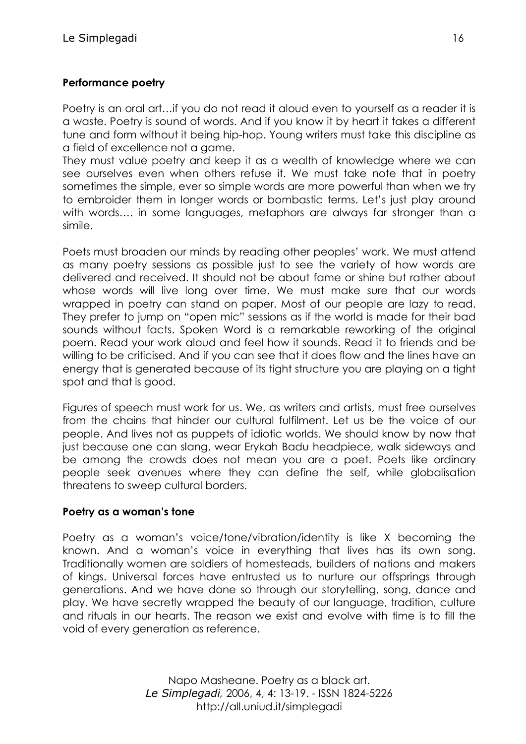## **Performance poetry**

Poetry is an oral art…if you do not read it aloud even to yourself as a reader it is a waste. Poetry is sound of words. And if you know it by heart it takes a different tune and form without it being hip-hop. Young writers must take this discipline as a field of excellence not a game.

They must value poetry and keep it as a wealth of knowledge where we can see ourselves even when others refuse it. We must take note that in poetry sometimes the simple, ever so simple words are more powerful than when we try to embroider them in longer words or bombastic terms. Let's just play around with words.... in some languages, metaphors are always far stronger than a simile.

Poets must broaden our minds by reading other peoples' work. We must attend as many poetry sessions as possible just to see the variety of how words are delivered and received. It should not be about fame or shine but rather about whose words will live long over time. We must make sure that our words wrapped in poetry can stand on paper. Most of our people are lazy to read. They prefer to jump on "open mic" sessions as if the world is made for their bad sounds without facts. Spoken Word is a remarkable reworking of the original poem. Read your work aloud and feel how it sounds. Read it to friends and be willing to be criticised. And if you can see that it does flow and the lines have an energy that is generated because of its tight structure you are playing on a tight spot and that is good.

Figures of speech must work for us. We, as writers and artists, must free ourselves from the chains that hinder our cultural fulfilment. Let us be the voice of our people. And lives not as puppets of idiotic worlds. We should know by now that just because one can slang, wear Erykah Badu headpiece, walk sideways and be among the crowds does not mean you are a poet. Poets like ordinary people seek avenues where they can define the self, while globalisation threatens to sweep cultural borders.

#### **Poetry as a woman's tone**

Poetry as a woman's voice/tone/vibration/identity is like X becoming the known. And a woman's voice in everything that lives has its own song. Traditionally women are soldiers of homesteads, builders of nations and makers of kings. Universal forces have entrusted us to nurture our offsprings through generations. And we have done so through our storytelling, song, dance and play. We have secretly wrapped the beauty of our language, tradition, culture and rituals in our hearts. The reason we exist and evolve with time is to fill the void of every generation as reference.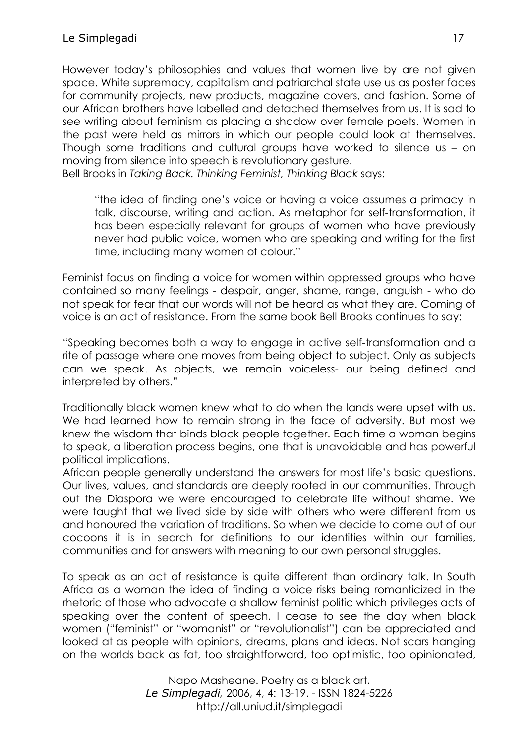However today's philosophies and values that women live by are not given space. White supremacy, capitalism and patriarchal state use us as poster faces for community projects, new products, magazine covers, and fashion. Some of our African brothers have labelled and detached themselves from us. It is sad to see writing about feminism as placing a shadow over female poets. Women in the past were held as mirrors in which our people could look at themselves. Though some traditions and cultural groups have worked to silence us – on moving from silence into speech is revolutionary gesture.

Bell Brooks in *Taking Back. Thinking Feminist, Thinking Black* says:

"the idea of finding one's voice or having a voice assumes a primacy in talk, discourse, writing and action. As metaphor for self-transformation, it has been especially relevant for groups of women who have previously never had public voice, women who are speaking and writing for the first time, including many women of colour."

Feminist focus on finding a voice for women within oppressed groups who have contained so many feelings - despair, anger, shame, range, anguish - who do not speak for fear that our words will not be heard as what they are. Coming of voice is an act of resistance. From the same book Bell Brooks continues to say:

"Speaking becomes both a way to engage in active self-transformation and a rite of passage where one moves from being object to subject. Only as subjects can we speak. As objects, we remain voiceless- our being defined and interpreted by others."

Traditionally black women knew what to do when the lands were upset with us. We had learned how to remain strong in the face of adversity. But most we knew the wisdom that binds black people together. Each time a woman begins to speak, a liberation process begins, one that is unavoidable and has powerful political implications.

African people generally understand the answers for most life's basic questions. Our lives, values, and standards are deeply rooted in our communities. Through out the Diaspora we were encouraged to celebrate life without shame. We were taught that we lived side by side with others who were different from us and honoured the variation of traditions. So when we decide to come out of our cocoons it is in search for definitions to our identities within our families, communities and for answers with meaning to our own personal struggles.

To speak as an act of resistance is quite different than ordinary talk. In South Africa as a woman the idea of finding a voice risks being romanticized in the rhetoric of those who advocate a shallow feminist politic which privileges acts of speaking over the content of speech. I cease to see the day when black women ("feminist" or "womanist" or "revolutionalist") can be appreciated and looked at as people with opinions, dreams, plans and ideas. Not scars hanging on the worlds back as fat, too straightforward, too optimistic, too opinionated,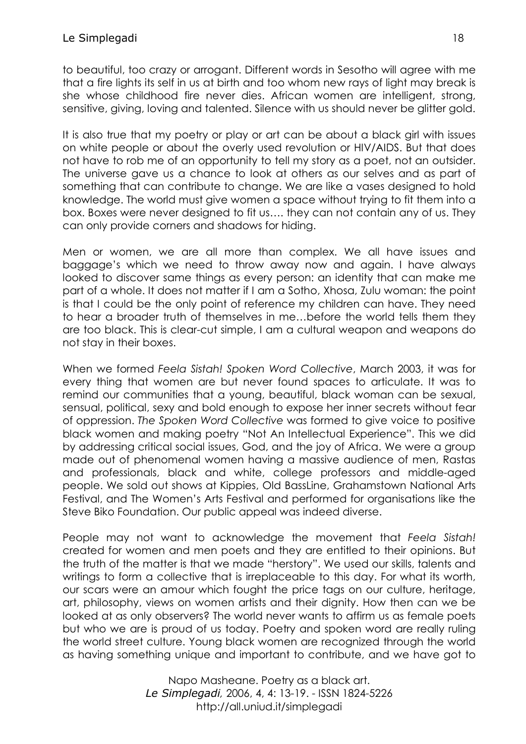to beautiful, too crazy or arrogant. Different words in Sesotho will agree with me that a fire lights its self in us at birth and too whom new rays of light may break is she whose childhood fire never dies. African women are intelligent, strong, sensitive, giving, loving and talented. Silence with us should never be glitter gold.

It is also true that my poetry or play or art can be about a black girl with issues on white people or about the overly used revolution or HIV/AIDS. But that does not have to rob me of an opportunity to tell my story as a poet, not an outsider. The universe gave us a chance to look at others as our selves and as part of something that can contribute to change. We are like a vases designed to hold knowledge. The world must give women a space without trying to fit them into a box. Boxes were never designed to fit us…. they can not contain any of us. They can only provide corners and shadows for hiding.

Men or women, we are all more than complex. We all have issues and baggage's which we need to throw away now and again. I have always looked to discover same things as every person: an identity that can make me part of a whole. It does not matter if I am a Sotho, Xhosa, Zulu woman: the point is that I could be the only point of reference my children can have. They need to hear a broader truth of themselves in me…before the world tells them they are too black. This is clear-cut simple, I am a cultural weapon and weapons do not stay in their boxes.

When we formed *Feela Sistah! Spoken Word Collective*, March 2003, it was for every thing that women are but never found spaces to articulate. It was to remind our communities that a young, beautiful, black woman can be sexual, sensual, political, sexy and bold enough to expose her inner secrets without fear of oppression. *The Spoken Word Collective* was formed to give voice to positive black women and making poetry "Not An Intellectual Experience". This we did by addressing critical social issues, God, and the joy of Africa. We were a group made out of phenomenal women having a massive audience of men, Rastas and professionals, black and white, college professors and middle-aged people. We sold out shows at Kippies, Old BassLine, Grahamstown National Arts Festival, and The Women's Arts Festival and performed for organisations like the Steve Biko Foundation. Our public appeal was indeed diverse.

People may not want to acknowledge the movement that *Feela Sistah!* created for women and men poets and they are entitled to their opinions. But the truth of the matter is that we made "herstory". We used our skills, talents and writings to form a collective that is irreplaceable to this day. For what its worth, our scars were an amour which fought the price tags on our culture, heritage, art, philosophy, views on women artists and their dignity. How then can we be looked at as only observers? The world never wants to affirm us as female poets but who we are is proud of us today. Poetry and spoken word are really ruling the world street culture. Young black women are recognized through the world as having something unique and important to contribute, and we have got to